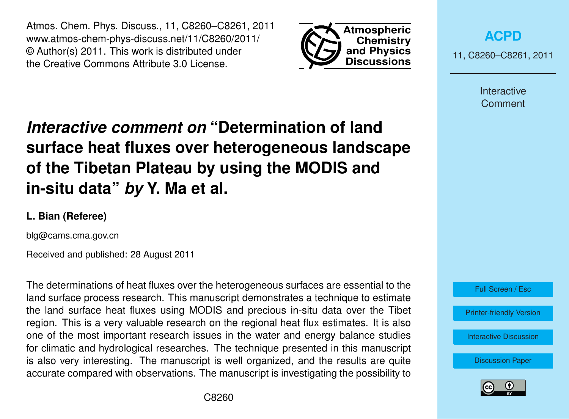Atmos. Chem. Phys. Discuss., 11, C8260–C8261, 2011 www.atmos-chem-phys-discuss.net/11/C8260/2011/ © Author(s) 2011. This work is distributed under the Creative Commons Attribute 3.0 License.



**[ACPD](http://www.atmos-chem-phys-discuss.net)**

11, C8260–C8261, 2011

Interactive **Comment** 

## *Interactive comment on* **"Determination of land surface heat fluxes over heterogeneous landscape of the Tibetan Plateau by using the MODIS and in-situ data"** *by* **Y. Ma et al.**

## **L. Bian (Referee)**

blg@cams.cma.gov.cn

Received and published: 28 August 2011

The determinations of heat fluxes over the heterogeneous surfaces are essential to the land surface process research. This manuscript demonstrates a technique to estimate the land surface heat fluxes using MODIS and precious in-situ data over the Tibet region. This is a very valuable research on the regional heat flux estimates. It is also one of the most important research issues in the water and energy balance studies for climatic and hydrological researches. The technique presented in this manuscript is also very interesting. The manuscript is well organized, and the results are quite accurate compared with observations. The manuscript is investigating the possibility to